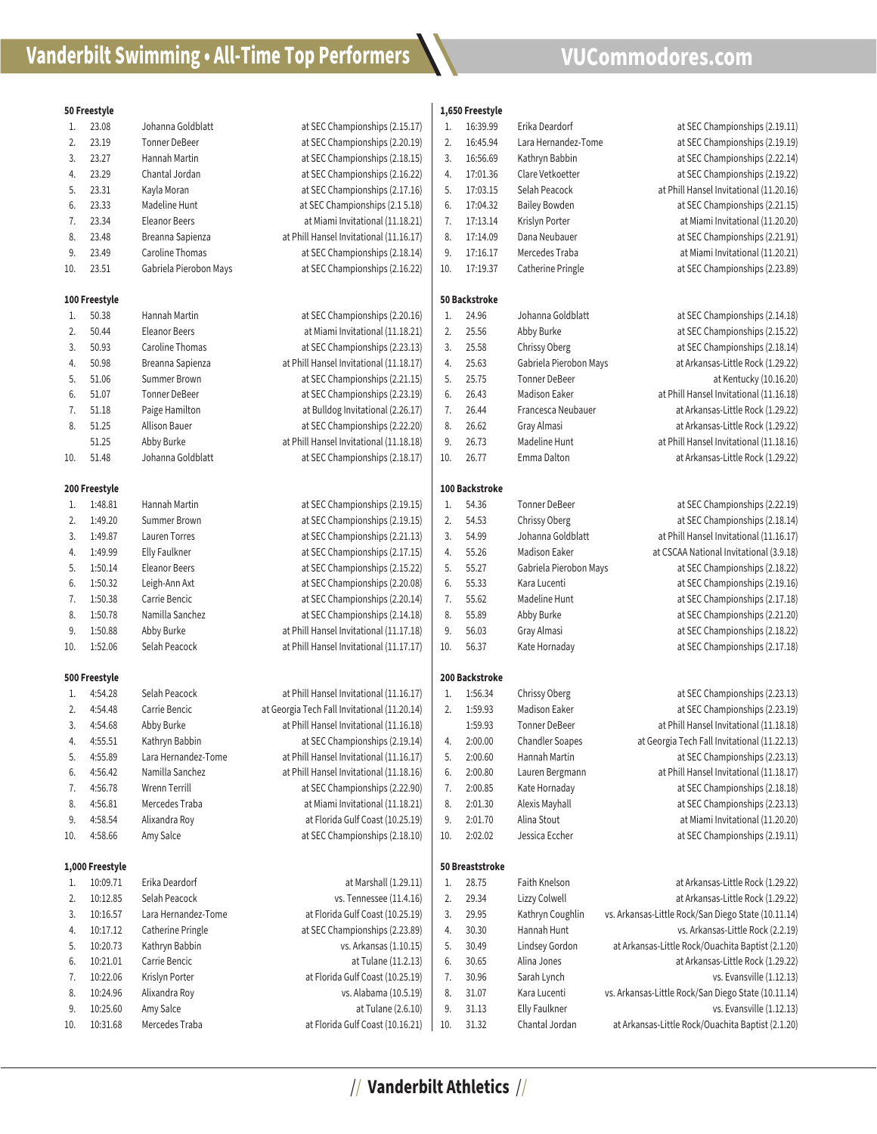## **Vanderbilt Swimming • All-Time Top Performers** \\ **VUCommodores.com**

|     | 50 Freestyle    |                        |                                              | 1,650 Freestyle |                 |                        |                                                     |  |  |
|-----|-----------------|------------------------|----------------------------------------------|-----------------|-----------------|------------------------|-----------------------------------------------------|--|--|
| 1.  | 23.08           | Johanna Goldblatt      | at SEC Championships (2.15.17)               | 1.              | 16:39.99        | Erika Deardorf         | at SEC Championships (2.19.11)                      |  |  |
| 2.  | 23.19           | <b>Tonner DeBeer</b>   | at SEC Championships (2.20.19)               | 2.              | 16:45.94        | Lara Hernandez-Tome    | at SEC Championships (2.19.19)                      |  |  |
| 3.  | 23.27           | Hannah Martin          | at SEC Championships (2.18.15)               | 3.              | 16:56.69        | Kathryn Babbin         | at SEC Championships (2.22.14)                      |  |  |
| 4.  | 23.29           | Chantal Jordan         | at SEC Championships (2.16.22)               | 4.              | 17:01.36        | Clare Vetkoetter       | at SEC Championships (2.19.22)                      |  |  |
| 5.  | 23.31           | Kayla Moran            | at SEC Championships (2.17.16)               | 5.              | 17:03.15        | Selah Peacock          | at Phill Hansel Invitational (11.20.16)             |  |  |
| 6.  | 23.33           | Madeline Hunt          | at SEC Championships (2.1 5.18)              | 6.              | 17:04.32        | <b>Bailey Bowden</b>   | at SEC Championships (2.21.15)                      |  |  |
| 7.  | 23.34           | <b>Eleanor Beers</b>   | at Miami Invitational (11.18.21)             | 7.              | 17:13.14        | Krislyn Porter         | at Miami Invitational (11.20.20)                    |  |  |
| 8.  | 23.48           | Breanna Sapienza       | at Phill Hansel Invitational (11.16.17)      | 8.              | 17:14.09        | Dana Neubauer          | at SEC Championships (2.21.91)                      |  |  |
| 9.  | 23.49           | Caroline Thomas        | at SEC Championships (2.18.14)               | 9.              | 17:16.17        | Mercedes Traba         | at Miami Invitational (11.20.21)                    |  |  |
| 10. | 23.51           | Gabriela Pierobon Mays | at SEC Championships (2.16.22)               | 10.             | 17:19.37        | Catherine Pringle      | at SEC Championships (2.23.89)                      |  |  |
|     |                 |                        |                                              |                 |                 |                        |                                                     |  |  |
|     | 100 Freestyle   |                        |                                              |                 | 50 Backstroke   |                        |                                                     |  |  |
| 1.  | 50.38           | Hannah Martin          | at SEC Championships (2.20.16)               | 1.              | 24.96           | Johanna Goldblatt      | at SEC Championships (2.14.18)                      |  |  |
| 2.  | 50.44           | <b>Eleanor Beers</b>   | at Miami Invitational (11.18.21)             | 2.              | 25.56           | Abby Burke             | at SEC Championships (2.15.22)                      |  |  |
| 3.  | 50.93           | Caroline Thomas        | at SEC Championships (2.23.13)               | 3.              | 25.58           | Chrissy Oberg          | at SEC Championships (2.18.14)                      |  |  |
| 4.  | 50.98           | Breanna Sapienza       | at Phill Hansel Invitational (11.18.17)      | 4.              | 25.63           | Gabriela Pierobon Mays | at Arkansas-Little Rock (1.29.22)                   |  |  |
| 5.  | 51.06           | <b>Summer Brown</b>    | at SEC Championships (2.21.15)               | 5.              | 25.75           | <b>Tonner DeBeer</b>   | at Kentucky (10.16.20)                              |  |  |
| 6.  | 51.07           | <b>Tonner DeBeer</b>   | at SEC Championships (2.23.19)               | 6.              | 26.43           | <b>Madison Eaker</b>   | at Phill Hansel Invitational (11.16.18)             |  |  |
| 7.  | 51.18           | Paige Hamilton         | at Bulldog Invitational (2.26.17)            | 7.              | 26.44           | Francesca Neubauer     | at Arkansas-Little Rock (1.29.22)                   |  |  |
| 8.  | 51.25           | <b>Allison Bauer</b>   | at SEC Championships (2.22.20)               | 8.              | 26.62           | Gray Almasi            | at Arkansas-Little Rock (1.29.22)                   |  |  |
|     | 51.25           | Abby Burke             | at Phill Hansel Invitational (11.18.18)      | 9.              | 26.73           | <b>Madeline Hunt</b>   | at Phill Hansel Invitational (11.18.16)             |  |  |
| 10. | 51.48           | Johanna Goldblatt      | at SEC Championships (2.18.17)               | 10.             | 26.77           | Emma Dalton            | at Arkansas-Little Rock (1.29.22)                   |  |  |
|     |                 |                        |                                              |                 |                 |                        |                                                     |  |  |
|     | 200 Freestyle   |                        |                                              |                 | 100 Backstroke  |                        |                                                     |  |  |
| 1.  | 1:48.81         | Hannah Martin          | at SEC Championships (2.19.15)               | 1.              | 54.36           | <b>Tonner DeBeer</b>   | at SEC Championships (2.22.19)                      |  |  |
| 2.  | 1:49.20         | <b>Summer Brown</b>    | at SEC Championships (2.19.15)               | 2.              | 54.53           | Chrissy Oberg          | at SEC Championships (2.18.14)                      |  |  |
| 3.  | 1:49.87         | Lauren Torres          | at SEC Championships (2.21.13)               | 3.              | 54.99           | Johanna Goldblatt      | at Phill Hansel Invitational (11.16.17)             |  |  |
| 4.  | 1:49.99         | <b>Elly Faulkner</b>   | at SEC Championships (2.17.15)               | 4.              | 55.26           | <b>Madison Eaker</b>   | at CSCAA National Invitational (3.9.18)             |  |  |
| 5.  | 1:50.14         | <b>Eleanor Beers</b>   | at SEC Championships (2.15.22)               | 5.              | 55.27           | Gabriela Pierobon Mays | at SEC Championships (2.18.22)                      |  |  |
| 6.  | 1:50.32         | Leigh-Ann Axt          | at SEC Championships (2.20.08)               | 6.              | 55.33           | Kara Lucenti           | at SEC Championships (2.19.16)                      |  |  |
| 7.  | 1:50.38         | Carrie Bencic          | at SEC Championships (2.20.14)               | 7.              | 55.62           | Madeline Hunt          | at SEC Championships (2.17.18)                      |  |  |
| 8.  | 1:50.78         | Namilla Sanchez        | at SEC Championships (2.14.18)               | 8.              | 55.89           | Abby Burke             | at SEC Championships (2.21.20)                      |  |  |
| 9.  | 1:50.88         | Abby Burke             | at Phill Hansel Invitational (11.17.18)      | 9.              | 56.03           | Gray Almasi            | at SEC Championships (2.18.22)                      |  |  |
| 10. | 1:52.06         | Selah Peacock          | at Phill Hansel Invitational (11.17.17)      | 10.             | 56.37           | Kate Hornaday          | at SEC Championships (2.17.18)                      |  |  |
|     |                 |                        |                                              |                 |                 |                        |                                                     |  |  |
|     | 500 Freestyle   |                        |                                              |                 | 200 Backstroke  |                        |                                                     |  |  |
| 1.  | 4:54.28         | Selah Peacock          | at Phill Hansel Invitational (11.16.17)      | 1.              | 1:56.34         | Chrissy Oberg          | at SEC Championships (2.23.13)                      |  |  |
| 2.  | 4:54.48         | Carrie Bencic          | at Georgia Tech Fall Invitational (11.20.14) | 2.              | 1:59.93         | <b>Madison Eaker</b>   | at SEC Championships (2.23.19)                      |  |  |
| 3.  | 4:54.68         | Abby Burke             | at Phill Hansel Invitational (11.16.18)      |                 | 1:59.93         | <b>Tonner DeBeer</b>   | at Phill Hansel Invitational (11.18.18)             |  |  |
| 4.  | 4:55.51         | Kathryn Babbin         | at SEC Championships (2.19.14)               | 4.              | 2:00.00         | <b>Chandler Soapes</b> | at Georgia Tech Fall Invitational (11.22.13)        |  |  |
| 5.  | 4:55.89         | Lara Hernandez-Tome    | at Phill Hansel Invitational (11.16.17)      | 5.              | 2:00.60         | Hannah Martin          | at SEC Championships (2.23.13)                      |  |  |
| 6.  | 4:56.42         | Namilla Sanchez        | at Phill Hansel Invitational (11.18.16)      | 6.              | 2:00.80         | Lauren Bergmann        | at Phill Hansel Invitational (11.18.17)             |  |  |
| 7.  | 4:56.78         | <b>Wrenn Terrill</b>   | at SEC Championships (2.22.90)               | 7.              | 2:00.85         | Kate Hornaday          | at SEC Championships (2.18.18)                      |  |  |
| 8.  | 4:56.81         | Mercedes Traba         | at Miami Invitational (11.18.21)             | 8.              | 2:01.30         | Alexis Mayhall         | at SEC Championships (2.23.13)                      |  |  |
| 9.  | 4:58.54         | Alixandra Roy          | at Florida Gulf Coast (10.25.19)             | 9.              | 2:01.70         | Alina Stout            | at Miami Invitational (11.20.20)                    |  |  |
| 10. | 4:58.66         | Amy Salce              | at SEC Championships (2.18.10)               | 10.             | 2:02.02         | Jessica Eccher         | at SEC Championships (2.19.11)                      |  |  |
|     | 1,000 Freestyle |                        |                                              |                 | 50 Breaststroke |                        |                                                     |  |  |
| 1.  | 10:09.71        | Erika Deardorf         | at Marshall (1.29.11)                        | 1.              | 28.75           | Faith Knelson          | at Arkansas-Little Rock (1.29.22)                   |  |  |
|     |                 | Selah Peacock          |                                              |                 |                 |                        |                                                     |  |  |
| 2.  | 10:12.85        |                        | vs. Tennessee (11.4.16)                      | 2.              | 29.34           | Lizzy Colwell          | at Arkansas-Little Rock (1.29.22)                   |  |  |
| 3.  | 10:16.57        | Lara Hernandez-Tome    | at Florida Gulf Coast (10.25.19)             | 3.              | 29.95           | Kathryn Coughlin       | vs. Arkansas-Little Rock/San Diego State (10.11.14) |  |  |
| 4.  | 10:17.12        | Catherine Pringle      | at SEC Championships (2.23.89)               | 4.              | 30.30           | Hannah Hunt            | vs. Arkansas-Little Rock (2.2.19)                   |  |  |
| 5.  | 10:20.73        | Kathryn Babbin         | vs. Arkansas (1.10.15)                       | 5.              | 30.49           | Lindsey Gordon         | at Arkansas-Little Rock/Ouachita Baptist (2.1.20)   |  |  |
| 6.  | 10:21.01        | Carrie Bencic          | at Tulane (11.2.13)                          | 6.              | 30.65           | Alina Jones            | at Arkansas-Little Rock (1.29.22)                   |  |  |
| 7.  | 10:22.06        | Krislyn Porter         | at Florida Gulf Coast (10.25.19)             | 7.              | 30.96           | Sarah Lynch            | vs. Evansville (1.12.13)                            |  |  |
| 8.  | 10:24.96        | Alixandra Roy          | vs. Alabama (10.5.19)                        | 8.              | 31.07           | Kara Lucenti           | vs. Arkansas-Little Rock/San Diego State (10.11.14) |  |  |
| 9.  | 10:25.60        | Amy Salce              | at Tulane (2.6.10)                           | 9.              | 31.13           | Elly Faulkner          | vs. Evansville (1.12.13)                            |  |  |
| 10. | 10:31.68        | Mercedes Traba         | at Florida Gulf Coast (10.16.21)             | 10.             | 31.32           | Chantal Jordan         | at Arkansas-Little Rock/Ouachita Baptist (2.1.20)   |  |  |

// **Vanderbilt Athletics** //